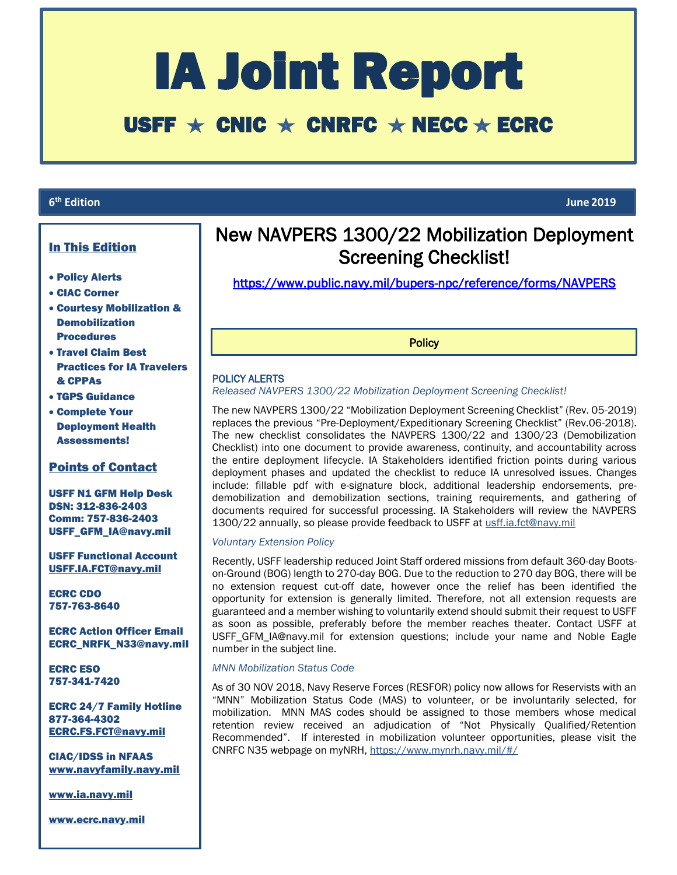# IA Joint Report

# USFF  $\star$  CNIC  $\star$  CNRFC  $\star$  NECC  $\star$  ECRC

### **6<sup>th</sup>** Edition

L

# In This Edition

- Policy Alerts
- CIAC Corner
- Courtesy Mobilization & Demobilization Procedures
- Travel Claim Best Practices for IA Travelers & CPPAs
- TGPS Guidance
- Complete Your Deployment Health Assessments!

## Points of Contact

USFF N1 GFM Help Desk DSN: 312-836-2403 Comm: 757-836-2403 USFF\_GFM\_IA@navy.mil

USFF Functional Account [USFF.IA.FCT@navy.mil](mailto:USFF.IA.FCT@navy.mil)

ECRC CDO 757-763-8640

ECRC Action Officer Email ECRC\_NRFK\_N33@navy.mil

ECRC ESO 757-341-7420

ECRC 24/7 Family Hotline 877-364-4302 [ECRC.FS.FCT@navy.mil](mailto:ECRC.FS.FCT@navy.mil)

CIAC/IDSS in NFAAS [www.navyfamily.navy.mil](http://www.navyfamily.navy.mil/)

[www.ia.navy.mil](http://www.ia.navy.mil/)

[www.ecrc.navy.mil](http://www.ecrc.navy.mil/)

# New NAVPERS 1300/22 Mobilization Deployment Screening Checklist!

<https://www.public.navy.mil/bupers-npc/reference/forms/NAVPERS>

**Policy** 

## POLICY ALERTS

i

Ī

*Released NAVPERS 1300/22 Mobilization Deployment Screening Checklist!* 

The new NAVPERS 1300/22 "Mobilization Deployment Screening Checklist" (Rev. 05-2019) replaces the previous "Pre-Deployment/Expeditionary Screening Checklist" (Rev.06-2018). The new checklist consolidates the NAVPERS 1300/22 and 1300/23 (Demobilization Checklist) into one document to provide awareness, continuity, and accountability across the entire deployment lifecycle. IA Stakeholders identified friction points during various deployment phases and updated the checklist to reduce IA unresolved issues. Changes include: fillable pdf with e-signature block, additional leadership endorsements, predemobilization and demobilization sections, training requirements, and gathering of documents required for successful processing. IA Stakeholders will review the NAVPERS 1300/22 annually, so please provide feedback to USFF at [usff.ia.fct@navy.mil](mailto:usff.ia.fct@navy.mil)

#### *Voluntary Extension Policy*

Recently, USFF leadership reduced Joint Staff ordered missions from default 360-day Bootson-Ground (BOG) length to 270-day BOG. Due to the reduction to 270 day BOG, there will be no extension request cut-off date, however once the relief has been identified the opportunity for extension is generally limited. Therefore, not all extension requests are guaranteed and a member wishing to voluntarily extend should submit their request to USFF as soon as possible, preferably before the member reaches theater. Contact USFF at USFF\_GFM\_IA@navy.mil for extension questions; include your name and Noble Eagle number in the subject line.

#### *MNN Mobilization Status Code*

As of 30 NOV 2018, Navy Reserve Forces (RESFOR) policy now allows for Reservists with an "MNN" Mobilization Status Code (MAS) to volunteer, or be involuntarily selected, for mobilization. MNN MAS codes should be assigned to those members whose medical retention review received an adjudication of "Not Physically Qualified/Retention Recommended". If interested in mobilization volunteer opportunities, please visit the CNRFC N35 webpage on myNRH[, https://www.mynrh.navy.mil/#/](https://www.mynrh.navy.mil/#/)

**th Edition June 2019**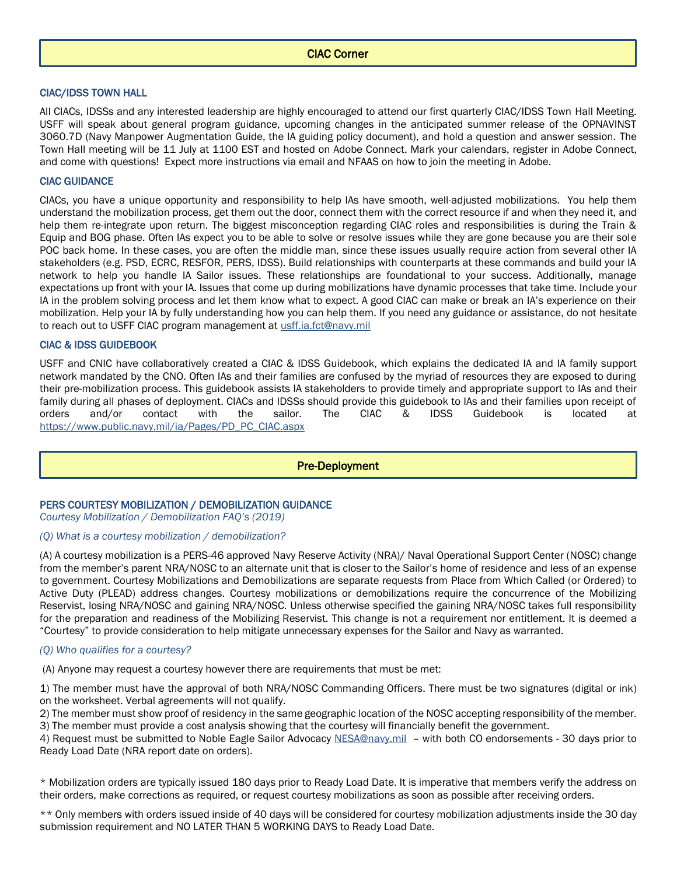#### CIAC/IDSS TOWN HALL

All CIACs, IDSSs and any interested leadership are highly encouraged to attend our first quarterly CIAC/IDSS Town Hall Meeting. USFF will speak about general program guidance, upcoming changes in the anticipated summer release of the OPNAVINST 3060.7D (Navy Manpower Augmentation Guide, the IA guiding policy document), and hold a question and answer session. The Town Hall meeting will be 11 July at 1100 EST and hosted on Adobe Connect. Mark your calendars, register in Adobe Connect, and come with questions! Expect more instructions via email and NFAAS on how to join the meeting in Adobe.

#### CIAC GUIDANCE

CIACs, you have a unique opportunity and responsibility to help IAs have smooth, well-adjusted mobilizations. You help them understand the mobilization process, get them out the door, connect them with the correct resource if and when they need it, and help them re-integrate upon return. The biggest misconception regarding CIAC roles and responsibilities is during the Train & Equip and BOG phase. Often IAs expect you to be able to solve or resolve issues while they are gone because you are their sole POC back home. In these cases, you are often the middle man, since these issues usually require action from several other IA stakeholders (e.g. PSD, ECRC, RESFOR, PERS, IDSS). Build relationships with counterparts at these commands and build your IA network to help you handle IA Sailor issues. These relationships are foundational to your success. Additionally, manage expectations up front with your IA. Issues that come up during mobilizations have dynamic processes that take time. Include your IA in the problem solving process and let them know what to expect. A good CIAC can make or break an IA's experience on their mobilization. Help your IA by fully understanding how you can help them. If you need any guidance or assistance, do not hesitate to reach out to USFF CIAC program management at [usff.ia.fct@navy.mil](mailto:usff.ia.fct@navy.mil) 

#### CIAC & IDSS GUIDEBOOK

USFF and CNIC have collaboratively created a CIAC & IDSS Guidebook, which explains the dedicated IA and IA family support network mandated by the CNO. Often IAs and their families are confused by the myriad of resources they are exposed to during their pre-mobilization process. This guidebook assists IA stakeholders to provide timely and appropriate support to IAs and their family during all phases of deployment. CIACs and IDSSs should provide this guidebook to IAs and their families upon receipt of orders and/or contact with the sailor. The CIAC & IDSS Guidebook is located at [https://www.public.navy.mil/ia/Pages/PD\\_PC\\_CIAC.aspx](https://www.public.navy.mil/ia/Pages/PD_PC_CIAC.aspx)

Pre-Deployment

#### PERS COURTESY MOBILIZATION / DEMOBILIZATION GUIDANCE

*Courtesy Mobilization / Demobilization FAQ's (2019)*

#### *(Q) What is a courtesy mobilization / demobilization?*

(A) A courtesy mobilization is a PERS-46 approved Navy Reserve Activity (NRA)/ Naval Operational Support Center (NOSC) change from the member's parent NRA/NOSC to an alternate unit that is closer to the Sailor's home of residence and less of an expense to government. Courtesy Mobilizations and Demobilizations are separate requests from Place from Which Called (or Ordered) to Active Duty (PLEAD) address changes. Courtesy mobilizations or demobilizations require the concurrence of the Mobilizing Reservist, losing NRA/NOSC and gaining NRA/NOSC. Unless otherwise specified the gaining NRA/NOSC takes full responsibility for the preparation and readiness of the Mobilizing Reservist. This change is not a requirement nor entitlement. It is deemed a "Courtesy" to provide consideration to help mitigate unnecessary expenses for the Sailor and Navy as warranted.

#### *(Q) Who qualifies for a courtesy?*

(A) Anyone may request a courtesy however there are requirements that must be met:

1) The member must have the approval of both NRA/NOSC Commanding Officers. There must be two signatures (digital or ink) on the worksheet. Verbal agreements will not qualify.

2) The member must show proof of residency in the same geographic location of the NOSC accepting responsibility of the member. 3) The member must provide a cost analysis showing that the courtesy will financially benefit the government.

4) Request must be submitted to Noble Eagle Sailor Advocacy [NESA@navy.mil](mailto:NESA@navy.mil) – with both CO endorsements - 30 days prior to Ready Load Date (NRA report date on orders).

\* Mobilization orders are typically issued 180 days prior to Ready Load Date. It is imperative that members verify the address on their orders, make corrections as required, or request courtesy mobilizations as soon as possible after receiving orders.

\*\* Only members with orders issued inside of 40 days will be considered for courtesy mobilization adjustments inside the 30 day submission requirement and NO LATER THAN 5 WORKING DAYS to Ready Load Date.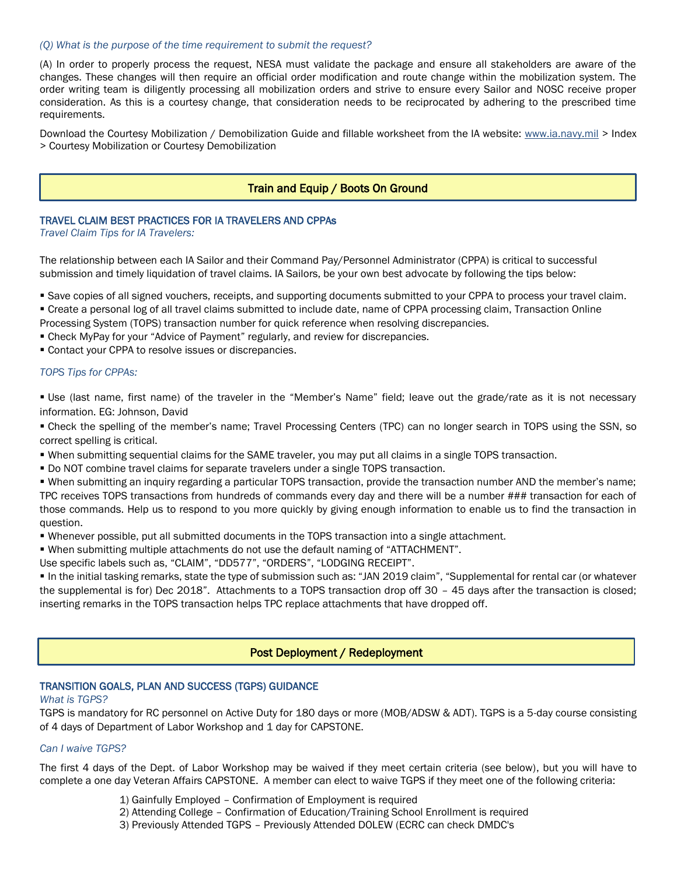#### *(Q) What is the purpose of the time requirement to submit the request?*

(A) In order to properly process the request, NESA must validate the package and ensure all stakeholders are aware of the changes. These changes will then require an official order modification and route change within the mobilization system. The order writing team is diligently processing all mobilization orders and strive to ensure every Sailor and NOSC receive proper consideration. As this is a courtesy change, that consideration needs to be reciprocated by adhering to the prescribed time requirements.

Download the Courtesy Mobilization / Demobilization Guide and fillable worksheet from the IA website: [www.ia.navy.mil](http://www.ia.navy.mil/) > Index > Courtesy Mobilization or Courtesy Demobilization

#### Train and Equip / Boots On Ground

#### TRAVEL CLAIM BEST PRACTICES FOR IA TRAVELERS AND CPPAs

*Travel Claim Tips for IA Travelers:*

The relationship between each IA Sailor and their Command Pay/Personnel Administrator (CPPA) is critical to successful submission and timely liquidation of travel claims. IA Sailors, be your own best advocate by following the tips below:

- Save copies of all signed vouchers, receipts, and supporting documents submitted to your CPPA to process your travel claim.
- Create a personal log of all travel claims submitted to include date, name of CPPA processing claim, Transaction Online
- Processing System (TOPS) transaction number for quick reference when resolving discrepancies.
- Check MyPay for your "Advice of Payment" regularly, and review for discrepancies.
- Contact your CPPA to resolve issues or discrepancies.

#### *TOPS Tips for CPPAs:*

 Use (last name, first name) of the traveler in the "Member's Name" field; leave out the grade/rate as it is not necessary information. EG: Johnson, David

 Check the spelling of the member's name; Travel Processing Centers (TPC) can no longer search in TOPS using the SSN, so correct spelling is critical.

- When submitting sequential claims for the SAME traveler, you may put all claims in a single TOPS transaction.
- Do NOT combine travel claims for separate travelers under a single TOPS transaction.

 When submitting an inquiry regarding a particular TOPS transaction, provide the transaction number AND the member's name; TPC receives TOPS transactions from hundreds of commands every day and there will be a number ### transaction for each of those commands. Help us to respond to you more quickly by giving enough information to enable us to find the transaction in question.

Whenever possible, put all submitted documents in the TOPS transaction into a single attachment.

When submitting multiple attachments do not use the default naming of "ATTACHMENT".

Use specific labels such as, "CLAIM", "DD577", "ORDERS", "LODGING RECEIPT".

 In the initial tasking remarks, state the type of submission such as: "JAN 2019 claim", "Supplemental for rental car (or whatever the supplemental is for) Dec 2018". Attachments to a TOPS transaction drop off 30 – 45 days after the transaction is closed; inserting remarks in the TOPS transaction helps TPC replace attachments that have dropped off.

#### Post Deployment / Redeployment

#### TRANSITION GOALS, PLAN AND SUCCESS (TGPS) GUIDANCE

#### *What is TGPS?*

TGPS is mandatory for RC personnel on Active Duty for 180 days or more (MOB/ADSW & ADT). TGPS is a 5-day course consisting of 4 days of Department of Labor Workshop and 1 day for CAPSTONE.

#### *Can I waive TGPS?*

The first 4 days of the Dept. of Labor Workshop may be waived if they meet certain criteria (see below), but you will have to complete a one day Veteran Affairs CAPSTONE. A member can elect to waive TGPS if they meet one of the following criteria:

- 1) Gainfully Employed Confirmation of Employment is required
- 2) Attending College Confirmation of Education/Training School Enrollment is required
- 3) Previously Attended TGPS Previously Attended DOLEW (ECRC can check DMDC's